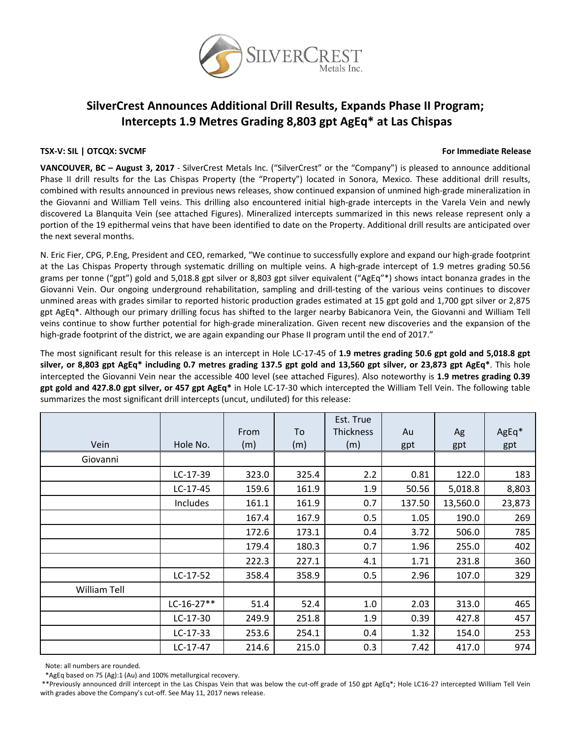

# **SilverCrest Announces Additional Drill Results, Expands Phase II Program; Intercepts 1.9 Metres Grading 8,803 gpt AgEq\* at Las Chispas**

## **TSX‐V: SIL | OTCQX: SVCMF For Immediate Release**

**VANCOUVER, BC – August 3, 2017** ‐ SilverCrest Metals Inc. ("SilverCrest" or the "Company") is pleased to announce additional Phase II drill results for the Las Chispas Property (the "Property") located in Sonora, Mexico. These additional drill results, combined with results announced in previous news releases, show continued expansion of unmined high‐grade mineralization in the Giovanni and William Tell veins. This drilling also encountered initial high‐grade intercepts in the Varela Vein and newly discovered La Blanquita Vein (see attached Figures). Mineralized intercepts summarized in this news release represent only a portion of the 19 epithermal veins that have been identified to date on the Property. Additional drill results are anticipated over the next several months.

N. Eric Fier, CPG, P.Eng, President and CEO, remarked, "We continue to successfully explore and expand our high‐grade footprint at the Las Chispas Property through systematic drilling on multiple veins. A high‐grade intercept of 1.9 metres grading 50.56 grams per tonne ("gpt") gold and 5,018.8 gpt silver or 8,803 gpt silver equivalent ("AgEq"\*) shows intact bonanza grades in the Giovanni Vein. Our ongoing underground rehabilitation, sampling and drill‐testing of the various veins continues to discover unmined areas with grades similar to reported historic production grades estimated at 15 gpt gold and 1,700 gpt silver or 2,875 gpt AgEq\*. Although our primary drilling focus has shifted to the larger nearby Babicanora Vein, the Giovanni and William Tell veins continue to show further potential for high‐grade mineralization. Given recent new discoveries and the expansion of the high-grade footprint of the district, we are again expanding our Phase II program until the end of 2017."

The most significant result for this release is an intercept in Hole LC‐17‐45 of **1.9 metres grading 50.6 gpt gold and 5,018.8 gpt** silver, or 8,803 gpt AgEq\* including 0.7 metres grading 137.5 gpt gold and 13,560 gpt silver, or 23,873 gpt AgEq\*. This hole intercepted the Giovanni Vein near the accessible 400 level (see attached Figures). Also noteworthy is **1.9 metres grading 0.39 gpt gold and 427.8.0 gpt silver, or 457 gpt AgEq\*** in Hole LC‐17‐30 which intercepted the William Tell Vein. The following table summarizes the most significant drill intercepts (uncut, undiluted) for this release:

|                     |              | From  | To    | Est. True<br><b>Thickness</b> | Au     | Ag       | AgEq*  |
|---------------------|--------------|-------|-------|-------------------------------|--------|----------|--------|
| Vein                | Hole No.     | (m)   | (m)   | (m)                           | gpt    | gpt      | gpt    |
| Giovanni            |              |       |       |                               |        |          |        |
|                     | LC-17-39     | 323.0 | 325.4 | 2.2                           | 0.81   | 122.0    | 183    |
|                     | $LC-17-45$   | 159.6 | 161.9 | 1.9                           | 50.56  | 5,018.8  | 8,803  |
|                     | Includes     | 161.1 | 161.9 | 0.7                           | 137.50 | 13,560.0 | 23,873 |
|                     |              | 167.4 | 167.9 | 0.5                           | 1.05   | 190.0    | 269    |
|                     |              | 172.6 | 173.1 | 0.4                           | 3.72   | 506.0    | 785    |
|                     |              | 179.4 | 180.3 | 0.7                           | 1.96   | 255.0    | 402    |
|                     |              | 222.3 | 227.1 | 4.1                           | 1.71   | 231.8    | 360    |
|                     | $LC-17-52$   | 358.4 | 358.9 | 0.5                           | 2.96   | 107.0    | 329    |
| <b>William Tell</b> |              |       |       |                               |        |          |        |
|                     | $LC-16-27**$ | 51.4  | 52.4  | 1.0                           | 2.03   | 313.0    | 465    |
|                     | $LC-17-30$   | 249.9 | 251.8 | 1.9                           | 0.39   | 427.8    | 457    |
|                     | $LC-17-33$   | 253.6 | 254.1 | 0.4                           | 1.32   | 154.0    | 253    |
|                     | LC-17-47     | 214.6 | 215.0 | 0.3                           | 7.42   | 417.0    | 974    |

Note: all numbers are rounded.

\*AgEq based on 75 (Ag):1 (Au) and 100% metallurgical recovery.

\*\*Previously announced drill intercept in the Las Chispas Vein that was below the cut‐off grade of 150 gpt AgEq\*; Hole LC16‐27 intercepted William Tell Vein with grades above the Company's cut-off. See May 11, 2017 news release.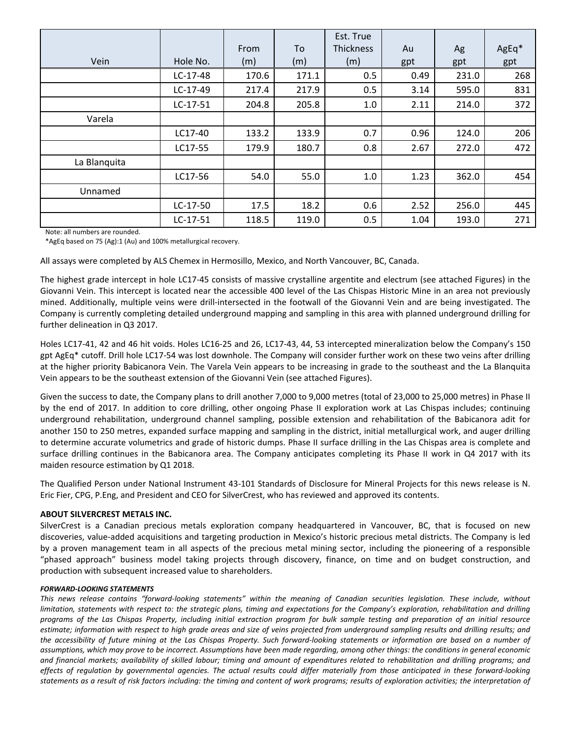|              |            |       |       | Est. True        |      |       |       |
|--------------|------------|-------|-------|------------------|------|-------|-------|
|              |            | From  | To    | <b>Thickness</b> | Au   | Ag    | AgEq* |
| Vein         | Hole No.   | (m)   | (m)   | (m)              | gpt  | gpt   | gpt   |
|              | $LC-17-48$ | 170.6 | 171.1 | 0.5              | 0.49 | 231.0 | 268   |
|              | $LC-17-49$ | 217.4 | 217.9 | 0.5              | 3.14 | 595.0 | 831   |
|              | $LC-17-51$ | 204.8 | 205.8 | 1.0              | 2.11 | 214.0 | 372   |
| Varela       |            |       |       |                  |      |       |       |
|              | LC17-40    | 133.2 | 133.9 | 0.7              | 0.96 | 124.0 | 206   |
|              | LC17-55    | 179.9 | 180.7 | 0.8              | 2.67 | 272.0 | 472   |
| La Blanquita |            |       |       |                  |      |       |       |
|              | LC17-56    | 54.0  | 55.0  | 1.0              | 1.23 | 362.0 | 454   |
| Unnamed      |            |       |       |                  |      |       |       |
|              | $LC-17-50$ | 17.5  | 18.2  | 0.6              | 2.52 | 256.0 | 445   |
|              | $LC-17-51$ | 118.5 | 119.0 | 0.5              | 1.04 | 193.0 | 271   |

Note: all numbers are rounded.

\*AgEq based on 75 (Ag):1 (Au) and 100% metallurgical recovery.

All assays were completed by ALS Chemex in Hermosillo, Mexico, and North Vancouver, BC, Canada.

The highest grade intercept in hole LC17‐45 consists of massive crystalline argentite and electrum (see attached Figures) in the Giovanni Vein. This intercept is located near the accessible 400 level of the Las Chispas Historic Mine in an area not previously mined. Additionally, multiple veins were drill‐intersected in the footwall of the Giovanni Vein and are being investigated. The Company is currently completing detailed underground mapping and sampling in this area with planned underground drilling for further delineation in Q3 2017.

Holes LC17‐41, 42 and 46 hit voids. Holes LC16‐25 and 26, LC17‐43, 44, 53 intercepted mineralization below the Company's 150 gpt AgEq\* cutoff. Drill hole LC17‐54 was lost downhole. The Company will consider further work on these two veins after drilling at the higher priority Babicanora Vein. The Varela Vein appears to be increasing in grade to the southeast and the La Blanquita Vein appears to be the southeast extension of the Giovanni Vein (see attached Figures).

Given the success to date, the Company plans to drill another 7,000 to 9,000 metres (total of 23,000 to 25,000 metres) in Phase II by the end of 2017. In addition to core drilling, other ongoing Phase II exploration work at Las Chispas includes; continuing underground rehabilitation, underground channel sampling, possible extension and rehabilitation of the Babicanora adit for another 150 to 250 metres, expanded surface mapping and sampling in the district, initial metallurgical work, and auger drilling to determine accurate volumetrics and grade of historic dumps. Phase II surface drilling in the Las Chispas area is complete and surface drilling continues in the Babicanora area. The Company anticipates completing its Phase II work in Q4 2017 with its maiden resource estimation by Q1 2018.

The Qualified Person under National Instrument 43‐101 Standards of Disclosure for Mineral Projects for this news release is N. Eric Fier, CPG, P.Eng, and President and CEO for SilverCrest, who has reviewed and approved its contents.

### **ABOUT SILVERCREST METALS INC.**

SilverCrest is a Canadian precious metals exploration company headquartered in Vancouver, BC, that is focused on new discoveries, value‐added acquisitions and targeting production in Mexico's historic precious metal districts. The Company is led by a proven management team in all aspects of the precious metal mining sector, including the pioneering of a responsible "phased approach" business model taking projects through discovery, finance, on time and on budget construction, and production with subsequent increased value to shareholders.

### *FORWARD‐LOOKING STATEMENTS*

This news release contains "forward-looking statements" within the meaning of Canadian securities legislation. These include, without limitation, statements with respect to: the strategic plans, timing and expectations for the Company's exploration, rehabilitation and drilling programs of the Las Chispas Property, including initial extraction program for bulk sample testing and preparation of an initial resource estimate; information with respect to high grade areas and size of veins projected from underground sampling results and drilling results; and the accessibility of future mining at the Las Chispas Property. Such forward-looking statements or information are based on a number of assumptions, which may prove to be incorrect. Assumptions have been made regarding, among other things: the conditions in general economic and financial markets; availability of skilled labour; timing and amount of expenditures related to rehabilitation and drilling programs; and effects of regulation by governmental agencies. The actual results could differ materially from those anticipated in these forward-looking statements as a result of risk factors including: the timing and content of work programs; results of exploration activities; the interpretation of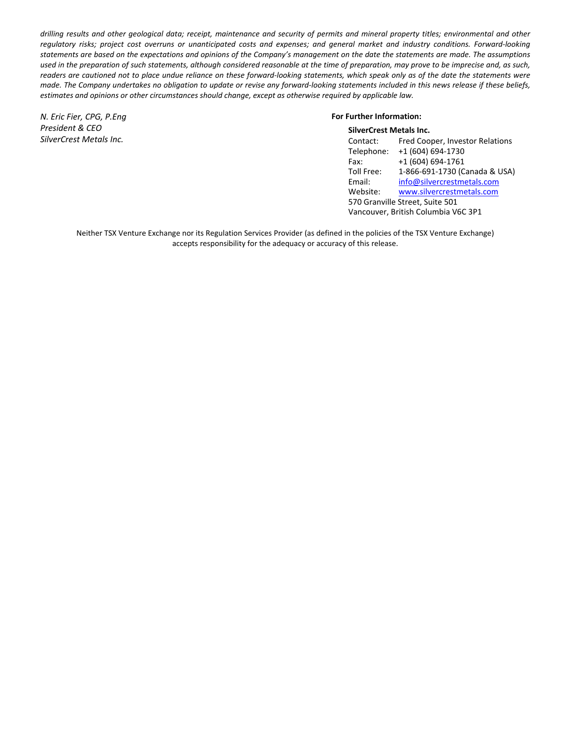drilling results and other geological data; receipt, maintenance and security of permits and mineral property titles; environmental and other regulatory risks; project cost overruns or unanticipated costs and expenses; and general market and industry conditions. Forward-looking statements are based on the expectations and opinions of the Company's management on the date the statements are made. The assumptions used in the preparation of such statements, although considered reasonable at the time of preparation, may prove to be imprecise and, as such, readers are cautioned not to place undue reliance on these forward-looking statements, which speak only as of the date the statements were made. The Company undertakes no obligation to update or revise any forward-looking statements included in this news release if these beliefs, *estimates and opinions or other circumstances should change, except as otherwise required by applicable law.*

*N. Eric Fier, CPG, P.Eng President & CEO SilverCrest Metals Inc.*

#### **For Further Information: SilverCrest Metals Inc.**

| SilverCrest Metals Inc.             |                                 |  |  |  |
|-------------------------------------|---------------------------------|--|--|--|
| Contact:                            | Fred Cooper, Investor Relations |  |  |  |
| Telephone:                          | +1 (604) 694-1730               |  |  |  |
| Fax:                                | +1 (604) 694-1761               |  |  |  |
| Toll Free:                          | 1-866-691-1730 (Canada & USA)   |  |  |  |
| Email:                              | info@silvercrestmetals.com      |  |  |  |
| Website:                            | www.silvercrestmetals.com       |  |  |  |
| 570 Granville Street, Suite 501     |                                 |  |  |  |
| Vancouver, British Columbia V6C 3P1 |                                 |  |  |  |

Neither TSX Venture Exchange nor its Regulation Services Provider (as defined in the policies of the TSX Venture Exchange) accepts responsibility for the adequacy or accuracy of this release.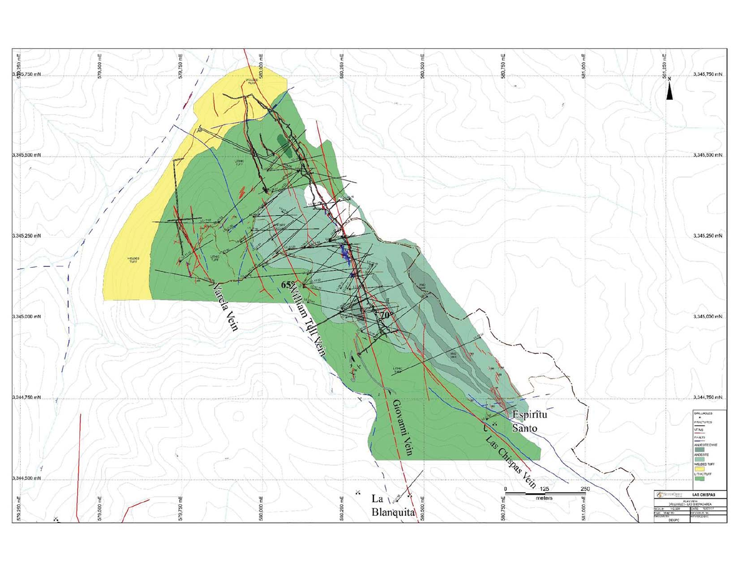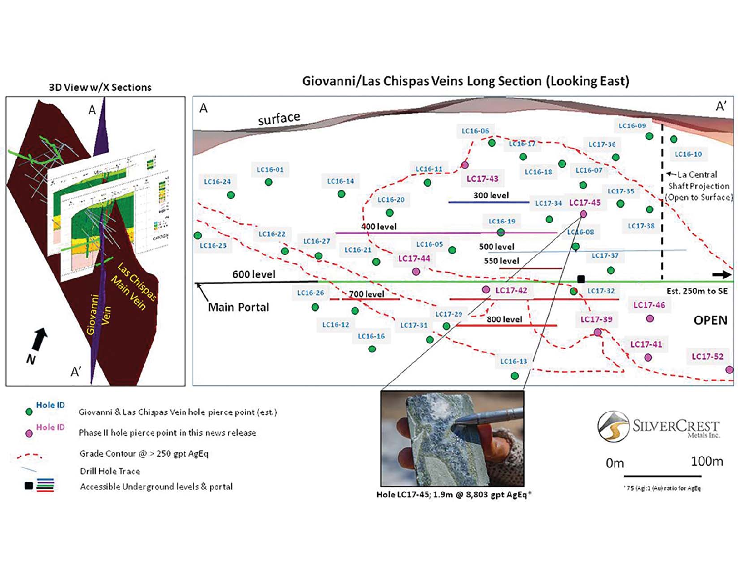